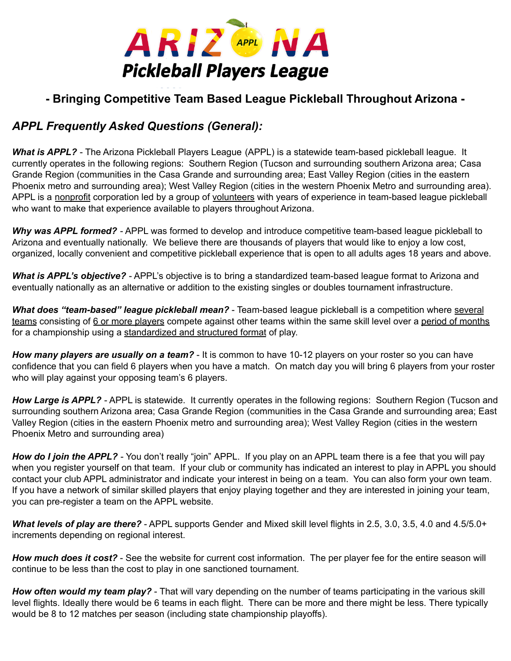

## **- Bringing Competitive Team Based League Pickleball Throughout Arizona -**

## *APPL Frequently Asked Questions (General):*

*What is APPL?* - The Arizona Pickleball Players League (APPL) is a statewide team-based pickleball league. It currently operates in the following regions: Southern Region (Tucson and surrounding southern Arizona area; Casa Grande Region (communities in the Casa Grande and surrounding area; East Valley Region (cities in the eastern Phoenix metro and surrounding area); West Valley Region (cities in the western Phoenix Metro and surrounding area). APPL is a nonprofit corporation led by a group of volunteers with years of experience in team-based league pickleball who want to make that experience available to players throughout Arizona.

*Why was APPL formed?* - APPL was formed to develop and introduce competitive team-based league pickleball to Arizona and eventually nationally. We believe there are thousands of players that would like to enjoy a low cost, organized, locally convenient and competitive pickleball experience that is open to all adults ages 18 years and above.

*What is APPL's objective?* - APPL's objective is to bring a standardized team-based league format to Arizona and eventually nationally as an alternative or addition to the existing singles or doubles tournament infrastructure.

*What does "team-based" league pickleball mean?* - Team-based league pickleball is a competition where several teams consisting of 6 or more players compete against other teams within the same skill level over a period of months for a championship using a standardized and structured format of play.

*How many players are usually on a team?* - It is common to have 10-12 players on your roster so you can have confidence that you can field 6 players when you have a match. On match day you will bring 6 players from your roster who will play against your opposing team's 6 players.

*How Large is APPL?* - APPL is statewide. It currently operates in the following regions: Southern Region (Tucson and surrounding southern Arizona area; Casa Grande Region (communities in the Casa Grande and surrounding area; East Valley Region (cities in the eastern Phoenix metro and surrounding area); West Valley Region (cities in the western Phoenix Metro and surrounding area)

*How do I join the APPL?* - You don't really "join" APPL. If you play on an APPL team there is a fee that you will pay when you register yourself on that team. If your club or community has indicated an interest to play in APPL you should contact your club APPL administrator and indicate your interest in being on a team. You can also form your own team. If you have a network of similar skilled players that enjoy playing together and they are interested in joining your team, you can pre-register a team on the APPL website.

*What levels of play are there?* - APPL supports Gender and Mixed skill level flights in 2.5, 3.0, 3.5, 4.0 and 4.5/5.0+ increments depending on regional interest.

*How much does it cost?* - See the website for current cost information. The per player fee for the entire season will continue to be less than the cost to play in one sanctioned tournament.

*How often would my team play?* - That will vary depending on the number of teams participating in the various skill level flights. Ideally there would be 6 teams in each flight. There can be more and there might be less. There typically would be 8 to 12 matches per season (including state championship playoffs).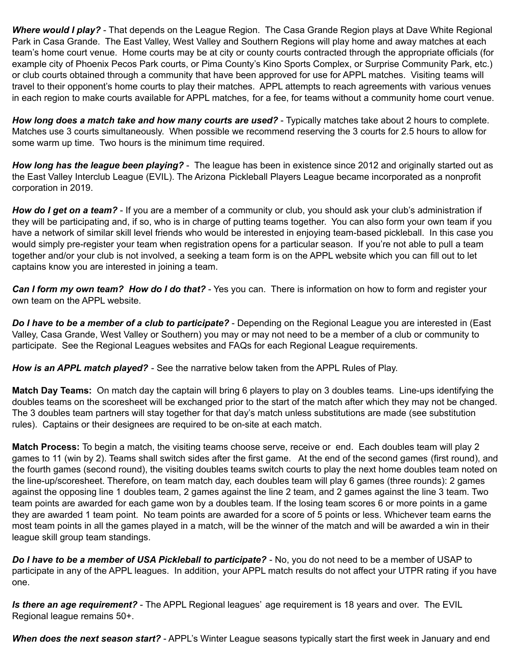*Where would I play?* - That depends on the League Region. The Casa Grande Region plays at Dave White Regional Park in Casa Grande. The East Valley, West Valley and Southern Regions will play home and away matches at each team's home court venue. Home courts may be at city or county courts contracted through the appropriate officials (for example city of Phoenix Pecos Park courts, or Pima County's Kino Sports Complex, or Surprise Community Park, etc.) or club courts obtained through a community that have been approved for use for APPL matches. Visiting teams will travel to their opponent's home courts to play their matches. APPL attempts to reach agreements with various venues in each region to make courts available for APPL matches, for a fee, for teams without a community home court venue.

*How long does a match take and how many courts are used?* - Typically matches take about 2 hours to complete. Matches use 3 courts simultaneously. When possible we recommend reserving the 3 courts for 2.5 hours to allow for some warm up time. Two hours is the minimum time required.

*How long has the league been playing?* - The league has been in existence since 2012 and originally started out as the East Valley Interclub League (EVIL). The Arizona Pickleball Players League became incorporated as a nonprofit corporation in 2019.

*How do I get on a team?* - If you are a member of a community or club, you should ask your club's administration if they will be participating and, if so, who is in charge of putting teams together. You can also form your own team if you have a network of similar skill level friends who would be interested in enjoying team-based pickleball. In this case you would simply pre-register your team when registration opens for a particular season. If you're not able to pull a team together and/or your club is not involved, a seeking a team form is on the APPL website which you can fill out to let captains know you are interested in joining a team.

*Can I form my own team? How do I do that?* - Yes you can. There is information on how to form and register your own team on the APPL website.

*Do I have to be a member of a club to participate?* - Depending on the Regional League you are interested in (East Valley, Casa Grande, West Valley or Southern) you may or may not need to be a member of a club or community to participate. See the Regional Leagues websites and FAQs for each Regional League requirements.

*How is an APPL match played?* - See the narrative below taken from the APPL Rules of Play.

**Match Day Teams:** On match day the captain will bring 6 players to play on 3 doubles teams. Line-ups identifying the doubles teams on the scoresheet will be exchanged prior to the start of the match after which they may not be changed. The 3 doubles team partners will stay together for that day's match unless substitutions are made (see substitution rules). Captains or their designees are required to be on-site at each match.

**Match Process:** To begin a match, the visiting teams choose serve, receive or end. Each doubles team will play 2 games to 11 (win by 2). Teams shall switch sides after the first game. At the end of the second games (first round), and the fourth games (second round), the visiting doubles teams switch courts to play the next home doubles team noted on the line-up/scoresheet. Therefore, on team match day, each doubles team will play 6 games (three rounds): 2 games against the opposing line 1 doubles team, 2 games against the line 2 team, and 2 games against the line 3 team. Two team points are awarded for each game won by a doubles team. If the losing team scores 6 or more points in a game they are awarded 1 team point. No team points are awarded for a score of 5 points or less. Whichever team earns the most team points in all the games played in a match, will be the winner of the match and will be awarded a win in their league skill group team standings.

*Do I have to be a member of USA Pickleball to participate?* - No, you do not need to be a member of USAP to participate in any of the APPL leagues. In addition, your APPL match results do not affect your UTPR rating if you have one.

*Is there an age requirement?* - The APPL Regional leagues' age requirement is 18 years and over. The EVIL Regional league remains 50+.

*When does the next season start?* - APPL's Winter League seasons typically start the first week in January and end